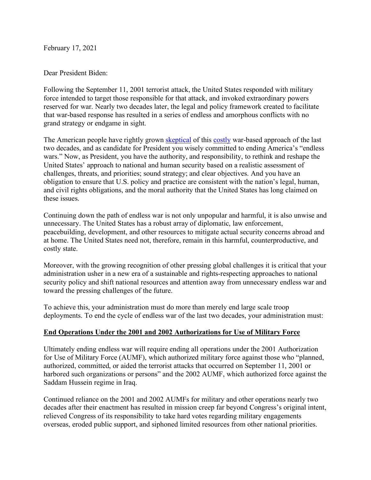February 17, 2021

Dear President Biden:

Following the September 11, 2001 terrorist attack, the United States responded with military force intended to target those responsible for that attack, and invoked extraordinary powers reserved for war. Nearly two decades later, the legal and policy framework created to facilitate that war-based response has resulted in a series of endless and amorphous conflicts with no grand strategy or endgame in sight.

The American people have rightly grown skeptical of this costly war-based approach of the last two decades, and as candidate for President you wisely committed to ending America's "endless wars." Now, as President, you have the authority, and responsibility, to rethink and reshape the United States' approach to national and human security based on a realistic assessment of challenges, threats, and priorities; sound strategy; and clear objectives. And you have an obligation to ensure that U.S. policy and practice are consistent with the nation's legal, human, and civil rights obligations, and the moral authority that the United States has long claimed on these issues.

Continuing down the path of endless war is not only unpopular and harmful, it is also unwise and unnecessary. The United States has a robust array of diplomatic, law enforcement, peacebuilding, development, and other resources to mitigate actual security concerns abroad and at home. The United States need not, therefore, remain in this harmful, counterproductive, and costly state.

Moreover, with the growing recognition of other pressing global challenges it is critical that your administration usher in a new era of a sustainable and rights-respecting approaches to national security policy and shift national resources and attention away from unnecessary endless war and toward the pressing challenges of the future.

To achieve this, your administration must do more than merely end large scale troop deployments. To end the cycle of endless war of the last two decades, your administration must:

### **End Operations Under the 2001 and 2002 Authorizations for Use of Military Force**

Ultimately ending endless war will require ending all operations under the 2001 Authorization for Use of Military Force (AUMF), which authorized military force against those who "planned, authorized, committed, or aided the terrorist attacks that occurred on September 11, 2001 or harbored such organizations or persons" and the 2002 AUMF, which authorized force against the Saddam Hussein regime in Iraq.

Continued reliance on the 2001 and 2002 AUMFs for military and other operations nearly two decades after their enactment has resulted in mission creep far beyond Congress's original intent, relieved Congress of its responsibility to take hard votes regarding military engagements overseas, eroded public support, and siphoned limited resources from other national priorities.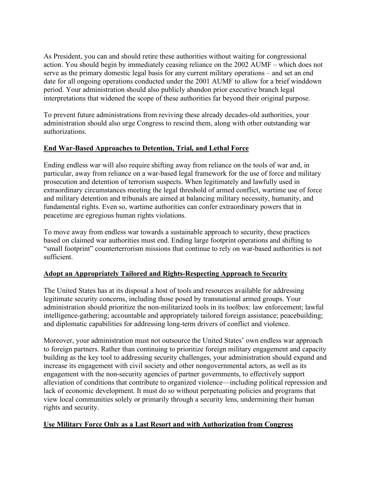As President, you can and should retire these authorities without waiting for congressional action. You should begin by immediately ceasing reliance on the 2002 AUMF – which does not serve as the primary domestic legal basis for any current military operations – and set an end date for all ongoing operations conducted under the 2001 AUMF to allow for a brief winddown period. Your administration should also publicly abandon prior executive branch legal interpretations that widened the scope of these authorities far beyond their original purpose.

To prevent future administrations from reviving these already decades-old authorities, your administration should also urge Congress to rescind them, along with other outstanding war authorizations.

# **End War-Based Approaches to Detention, Trial, and Lethal Force**

Ending endless war will also require shifting away from reliance on the tools of war and, in particular, away from reliance on a war-based legal framework for the use of force and military prosecution and detention of terrorism suspects. When legitimately and lawfully used in extraordinary circumstances meeting the legal threshold of armed conflict, wartime use of force and military detention and tribunals are aimed at balancing military necessity, humanity, and fundamental rights. Even so, wartime authorities can confer extraordinary powers that in peacetime are egregious human rights violations.

To move away from endless war towards a sustainable approach to security, these practices based on claimed war authorities must end. Ending large footprint operations and shifting to "small footprint" counterterrorism missions that continue to rely on war-based authorities is not sufficient.

# **Adopt an Appropriately Tailored and Rights-Respecting Approach to Security**

The United States has at its disposal a host of tools and resources available for addressing legitimate security concerns, including those posed by transnational armed groups. Your administration should prioritize the non-militarized tools in its toolbox: law enforcement; lawful intelligence-gathering; accountable and appropriately tailored foreign assistance; peacebuilding; and diplomatic capabilities for addressing long-term drivers of conflict and violence.

Moreover, your administration must not outsource the United States' own endless war approach to foreign partners. Rather than continuing to prioritize foreign military engagement and capacity building as the key tool to addressing security challenges, your administration should expand and increase its engagement with civil society and other nongovernmental actors, as well as its engagement with the non-security agencies of partner governments, to effectively support alleviation of conditions that contribute to organized violence—including political repression and lack of economic development. It must do so without perpetuating policies and programs that view local communities solely or primarily through a security lens, undermining their human rights and security.

### **Use Military Force Only as a Last Resort and with Authorization from Congress**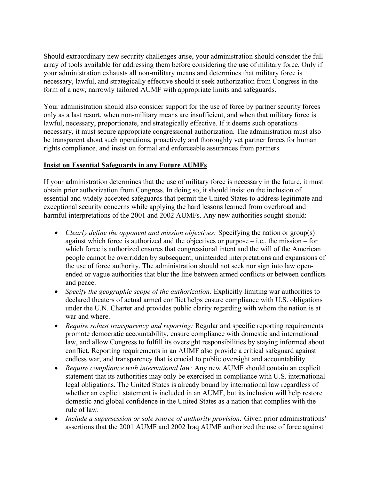Should extraordinary new security challenges arise, your administration should consider the full array of tools available for addressing them before considering the use of military force. Only if your administration exhausts all non-military means and determines that military force is necessary, lawful, and strategically effective should it seek authorization from Congress in the form of a new, narrowly tailored AUMF with appropriate limits and safeguards.

Your administration should also consider support for the use of force by partner security forces only as a last resort, when non-military means are insufficient, and when that military force is lawful, necessary, proportionate, and strategically effective. If it deems such operations necessary, it must secure appropriate congressional authorization. The administration must also be transparent about such operations, proactively and thoroughly vet partner forces for human rights compliance, and insist on formal and enforceable assurances from partners.

### **Insist on Essential Safeguards in any Future AUMFs**

If your administration determines that the use of military force is necessary in the future, it must obtain prior authorization from Congress. In doing so, it should insist on the inclusion of essential and widely accepted safeguards that permit the United States to address legitimate and exceptional security concerns while applying the hard lessons learned from overbroad and harmful interpretations of the 2001 and 2002 AUMFs. Any new authorities sought should:

- *Clearly define the opponent and mission objectives:* Specifying the nation or group(s) against which force is authorized and the objectives or purpose  $-i.e.,$  the mission – for which force is authorized ensures that congressional intent and the will of the American people cannot be overridden by subsequent, unintended interpretations and expansions of the use of force authority. The administration should not seek nor sign into law openended or vague authorities that blur the line between armed conflicts or between conflicts and peace.
- *Specify the geographic scope of the authorization:* Explicitly limiting war authorities to declared theaters of actual armed conflict helps ensure compliance with U.S. obligations under the U.N. Charter and provides public clarity regarding with whom the nation is at war and where.
- *Require robust transparency and reporting:* Regular and specific reporting requirements promote democratic accountability, ensure compliance with domestic and international law, and allow Congress to fulfill its oversight responsibilities by staying informed about conflict. Reporting requirements in an AUMF also provide a critical safeguard against endless war, and transparency that is crucial to public oversight and accountability.
- *Require compliance with international law:* Any new AUMF should contain an explicit statement that its authorities may only be exercised in compliance with U.S. international legal obligations. The United States is already bound by international law regardless of whether an explicit statement is included in an AUMF, but its inclusion will help restore domestic and global confidence in the United States as a nation that complies with the rule of law.
- *Include a supersession or sole source of authority provision:* Given prior administrations' assertions that the 2001 AUMF and 2002 Iraq AUMF authorized the use of force against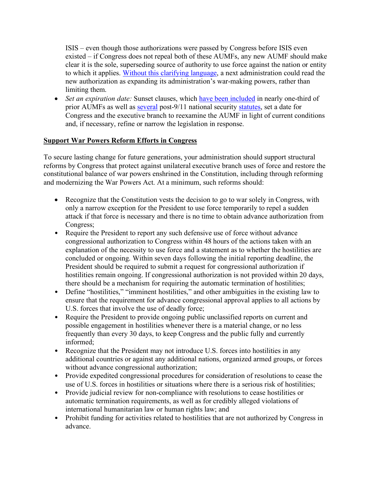ISIS – even though those authorizations were passed by Congress before ISIS even existed – if Congress does not repeal both of these AUMFs, any new AUMF should make clear it is the sole, superseding source of authority to use force against the nation or entity to which it applies. Without this clarifying language, a next administration could read the new authorization as expanding its administration's war-making powers, rather than limiting them.

• *Set an expiration date:* Sunset clauses, which have been included in nearly one-third of prior AUMFs as well as several post-9/11 national security statutes, set a date for Congress and the executive branch to reexamine the AUMF in light of current conditions and, if necessary, refine or narrow the legislation in response.

# **Support War Powers Reform Efforts in Congress**

To secure lasting change for future generations, your administration should support structural reforms by Congress that protect against unilateral executive branch uses of force and restore the constitutional balance of war powers enshrined in the Constitution, including through reforming and modernizing the War Powers Act. At a minimum, such reforms should:

- Recognize that the Constitution vests the decision to go to war solely in Congress, with only a narrow exception for the President to use force temporarily to repel a sudden attack if that force is necessary and there is no time to obtain advance authorization from Congress;
- Require the President to report any such defensive use of force without advance congressional authorization to Congress within 48 hours of the actions taken with an explanation of the necessity to use force and a statement as to whether the hostilities are concluded or ongoing. Within seven days following the initial reporting deadline, the President should be required to submit a request for congressional authorization if hostilities remain ongoing. If congressional authorization is not provided within 20 days, there should be a mechanism for requiring the automatic termination of hostilities;
- Define "hostilities," "imminent hostilities," and other ambiguities in the existing law to ensure that the requirement for advance congressional approval applies to all actions by U.S. forces that involve the use of deadly force;
- Require the President to provide ongoing public unclassified reports on current and possible engagement in hostilities whenever there is a material change, or no less frequently than every 30 days, to keep Congress and the public fully and currently informed;
- Recognize that the President may not introduce U.S. forces into hostilities in any additional countries or against any additional nations, organized armed groups, or forces without advance congressional authorization;
- Provide expedited congressional procedures for consideration of resolutions to cease the use of U.S. forces in hostilities or situations where there is a serious risk of hostilities;
- Provide judicial review for non-compliance with resolutions to cease hostilities or automatic termination requirements, as well as for credibly alleged violations of international humanitarian law or human rights law; and
- Prohibit funding for activities related to hostilities that are not authorized by Congress in advance.